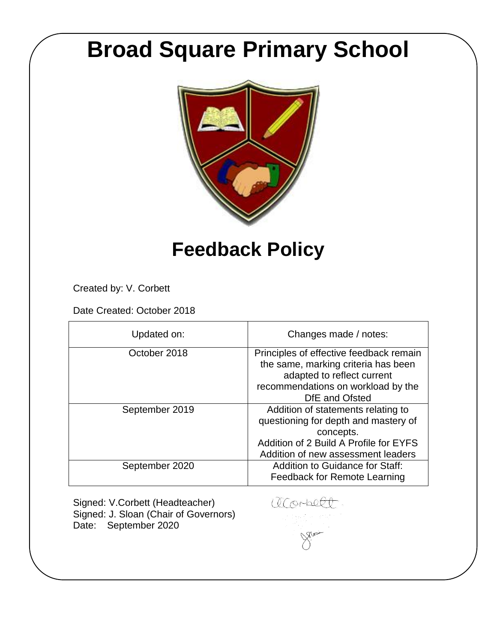# **Broad Square Primary School**



# **Feedback Policy**

Created by: V. Corbett

Date Created: October 2018

| Updated on:    | Changes made / notes:                                                                                                                                                   |
|----------------|-------------------------------------------------------------------------------------------------------------------------------------------------------------------------|
| October 2018   | Principles of effective feedback remain<br>the same, marking criteria has been<br>adapted to reflect current<br>recommendations on workload by the<br>DfE and Ofsted    |
| September 2019 | Addition of statements relating to<br>questioning for depth and mastery of<br>concepts.<br>Addition of 2 Build A Profile for EYFS<br>Addition of new assessment leaders |
| September 2020 | Addition to Guidance for Staff:<br><b>Feedback for Remote Learning</b>                                                                                                  |

Signed: V.Corbett (Headteacher) Signed: J. Sloan (Chair of Governors) Date: September 2020

acorbell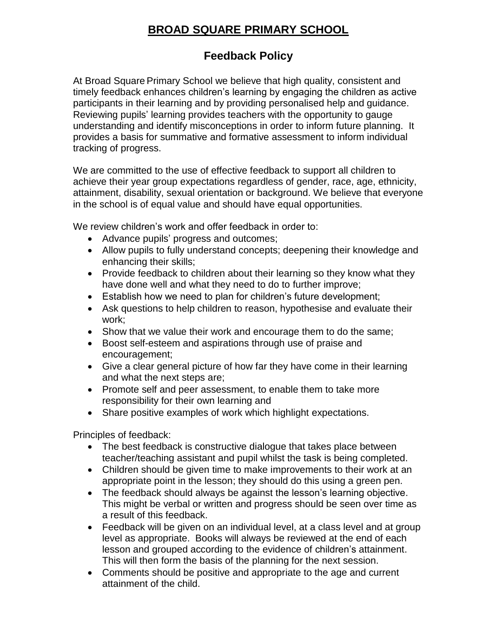# **BROAD SQUARE PRIMARY SCHOOL**

## **Feedback Policy**

At Broad Square Primary School we believe that high quality, consistent and timely feedback enhances children's learning by engaging the children as active participants in their learning and by providing personalised help and guidance. Reviewing pupils' learning provides teachers with the opportunity to gauge understanding and identify misconceptions in order to inform future planning. It provides a basis for summative and formative assessment to inform individual tracking of progress.

We are committed to the use of effective feedback to support all children to achieve their year group expectations regardless of gender, race, age, ethnicity, attainment, disability, sexual orientation or background. We believe that everyone in the school is of equal value and should have equal opportunities.

We review children's work and offer feedback in order to:

- Advance pupils' progress and outcomes;
- Allow pupils to fully understand concepts; deepening their knowledge and enhancing their skills;
- Provide feedback to children about their learning so they know what they have done well and what they need to do to further improve;
- Establish how we need to plan for children's future development;
- Ask questions to help children to reason, hypothesise and evaluate their work;
- Show that we value their work and encourage them to do the same;
- Boost self-esteem and aspirations through use of praise and encouragement;
- Give a clear general picture of how far they have come in their learning and what the next steps are;
- Promote self and peer assessment, to enable them to take more responsibility for their own learning and
- Share positive examples of work which highlight expectations.

Principles of feedback:

- The best feedback is constructive dialogue that takes place between teacher/teaching assistant and pupil whilst the task is being completed.
- Children should be given time to make improvements to their work at an appropriate point in the lesson; they should do this using a green pen.
- The feedback should always be against the lesson's learning objective. This might be verbal or written and progress should be seen over time as a result of this feedback.
- Feedback will be given on an individual level, at a class level and at group level as appropriate. Books will always be reviewed at the end of each lesson and grouped according to the evidence of children's attainment. This will then form the basis of the planning for the next session.
- Comments should be positive and appropriate to the age and current attainment of the child.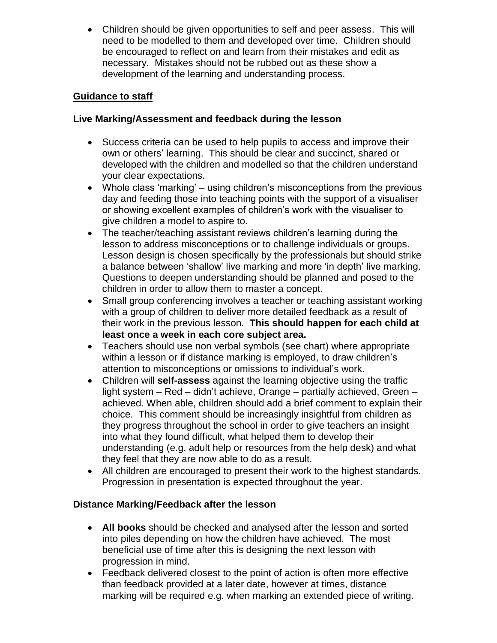Children should be given opportunities to self and peer assess. This will need to be modelled to them and developed over time. Children should be encouraged to reflect on and learn from their mistakes and edit as necessary. Mistakes should not be rubbed out as these show a development of the learning and understanding process.

#### **Guidance to staff**

#### **Live Marking/Assessment and feedback during the lesson**

- Success criteria can be used to help pupils to access and improve their own or others' learning. This should be clear and succinct, shared or developed with the children and modelled so that the children understand your clear expectations.
- Whole class 'marking' using children's misconceptions from the previous day and feeding those into teaching points with the support of a visualiser or showing excellent examples of children's work with the visualiser to give children a model to aspire to.
- The teacher/teaching assistant reviews children's learning during the lesson to address misconceptions or to challenge individuals or groups. Lesson design is chosen specifically by the professionals but should strike a balance between 'shallow' live marking and more 'in depth' live marking. Questions to deepen understanding should be planned and posed to the children in order to allow them to master a concept.
- Small group conferencing involves a teacher or teaching assistant working with a group of children to deliver more detailed feedback as a result of their work in the previous lesson. **This should happen for each child at least once a week in each core subject area.**
- Teachers should use non verbal symbols (see chart) where appropriate within a lesson or if distance marking is employed, to draw children's attention to misconceptions or omissions to individual's work.
- Children will **self-assess** against the learning objective using the traffic light system – Red – didn't achieve, Orange – partially achieved, Green – achieved. When able, children should add a brief comment to explain their choice. This comment should be increasingly insightful from children as they progress throughout the school in order to give teachers an insight into what they found difficult, what helped them to develop their understanding (e.g. adult help or resources from the help desk) and what they feel that they are now able to do as a result.
- All children are encouraged to present their work to the highest standards. Progression in presentation is expected throughout the year.

#### **Distance Marking/Feedback after the lesson**

- **All books** should be checked and analysed after the lesson and sorted into piles depending on how the children have achieved. The most beneficial use of time after this is designing the next lesson with progression in mind.
- Feedback delivered closest to the point of action is often more effective than feedback provided at a later date, however at times, distance marking will be required e.g. when marking an extended piece of writing.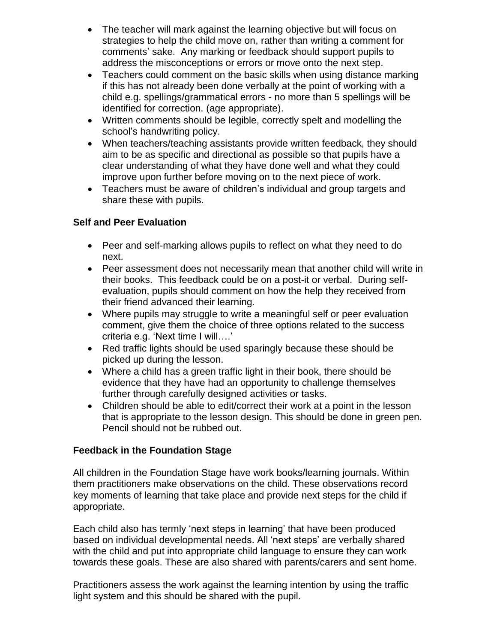- The teacher will mark against the learning objective but will focus on strategies to help the child move on, rather than writing a comment for comments' sake. Any marking or feedback should support pupils to address the misconceptions or errors or move onto the next step.
- Teachers could comment on the basic skills when using distance marking if this has not already been done verbally at the point of working with a child e.g. spellings/grammatical errors - no more than 5 spellings will be identified for correction. (age appropriate).
- Written comments should be legible, correctly spelt and modelling the school's handwriting policy.
- When teachers/teaching assistants provide written feedback, they should aim to be as specific and directional as possible so that pupils have a clear understanding of what they have done well and what they could improve upon further before moving on to the next piece of work.
- Teachers must be aware of children's individual and group targets and share these with pupils.

#### **Self and Peer Evaluation**

- Peer and self-marking allows pupils to reflect on what they need to do next.
- Peer assessment does not necessarily mean that another child will write in their books. This feedback could be on a post-it or verbal. During selfevaluation, pupils should comment on how the help they received from their friend advanced their learning.
- Where pupils may struggle to write a meaningful self or peer evaluation comment, give them the choice of three options related to the success criteria e.g. 'Next time I will….'
- Red traffic lights should be used sparingly because these should be picked up during the lesson.
- Where a child has a green traffic light in their book, there should be evidence that they have had an opportunity to challenge themselves further through carefully designed activities or tasks.
- Children should be able to edit/correct their work at a point in the lesson that is appropriate to the lesson design. This should be done in green pen. Pencil should not be rubbed out.

#### **Feedback in the Foundation Stage**

All children in the Foundation Stage have work books/learning journals. Within them practitioners make observations on the child. These observations record key moments of learning that take place and provide next steps for the child if appropriate.

Each child also has termly 'next steps in learning' that have been produced based on individual developmental needs. All 'next steps' are verbally shared with the child and put into appropriate child language to ensure they can work towards these goals. These are also shared with parents/carers and sent home.

Practitioners assess the work against the learning intention by using the traffic light system and this should be shared with the pupil.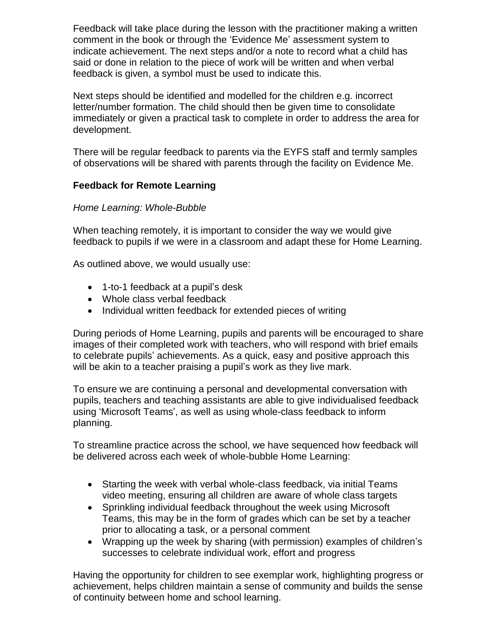Feedback will take place during the lesson with the practitioner making a written comment in the book or through the 'Evidence Me' assessment system to indicate achievement. The next steps and/or a note to record what a child has said or done in relation to the piece of work will be written and when verbal feedback is given, a symbol must be used to indicate this.

Next steps should be identified and modelled for the children e.g. incorrect letter/number formation. The child should then be given time to consolidate immediately or given a practical task to complete in order to address the area for development.

There will be regular feedback to parents via the EYFS staff and termly samples of observations will be shared with parents through the facility on Evidence Me.

#### **Feedback for Remote Learning**

#### *Home Learning: Whole-Bubble*

When teaching remotely, it is important to consider the way we would give feedback to pupils if we were in a classroom and adapt these for Home Learning.

As outlined above, we would usually use:

- 1-to-1 feedback at a pupil's desk
- Whole class verbal feedback
- Individual written feedback for extended pieces of writing

During periods of Home Learning, pupils and parents will be encouraged to share images of their completed work with teachers, who will respond with brief emails to celebrate pupils' achievements. As a quick, easy and positive approach this will be akin to a teacher praising a pupil's work as they live mark.

To ensure we are continuing a personal and developmental conversation with pupils, teachers and teaching assistants are able to give individualised feedback using 'Microsoft Teams', as well as using whole-class feedback to inform planning.

To streamline practice across the school, we have sequenced how feedback will be delivered across each week of whole-bubble Home Learning:

- Starting the week with verbal whole-class feedback, via initial Teams video meeting, ensuring all children are aware of whole class targets
- Sprinkling individual feedback throughout the week using Microsoft Teams, this may be in the form of grades which can be set by a teacher prior to allocating a task, or a personal comment
- Wrapping up the week by sharing (with permission) examples of children's successes to celebrate individual work, effort and progress

Having the opportunity for children to see exemplar work, highlighting progress or achievement, helps children maintain a sense of community and builds the sense of continuity between home and school learning.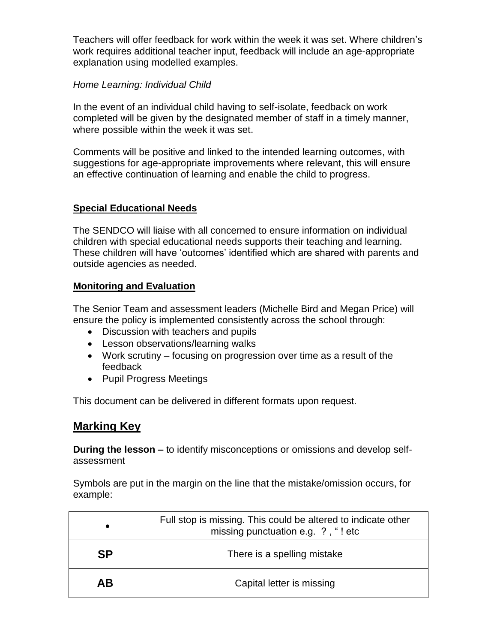Teachers will offer feedback for work within the week it was set. Where children's work requires additional teacher input, feedback will include an age-appropriate explanation using modelled examples.

#### *Home Learning: Individual Child*

In the event of an individual child having to self-isolate, feedback on work completed will be given by the designated member of staff in a timely manner, where possible within the week it was set.

Comments will be positive and linked to the intended learning outcomes, with suggestions for age-appropriate improvements where relevant, this will ensure an effective continuation of learning and enable the child to progress.

#### **Special Educational Needs**

The SENDCO will liaise with all concerned to ensure information on individual children with special educational needs supports their teaching and learning. These children will have 'outcomes' identified which are shared with parents and outside agencies as needed.

#### **Monitoring and Evaluation**

The Senior Team and assessment leaders (Michelle Bird and Megan Price) will ensure the policy is implemented consistently across the school through:

- Discussion with teachers and pupils
- Lesson observations/learning walks
- Work scrutiny focusing on progression over time as a result of the feedback
- Pupil Progress Meetings

This document can be delivered in different formats upon request.

### **Marking Key**

**During the lesson –** to identify misconceptions or omissions and develop selfassessment

Symbols are put in the margin on the line that the mistake/omission occurs, for example:

|           | Full stop is missing. This could be altered to indicate other<br>missing punctuation e.g. ?, "! etc |
|-----------|-----------------------------------------------------------------------------------------------------|
| <b>SP</b> | There is a spelling mistake                                                                         |
| AВ        | Capital letter is missing                                                                           |